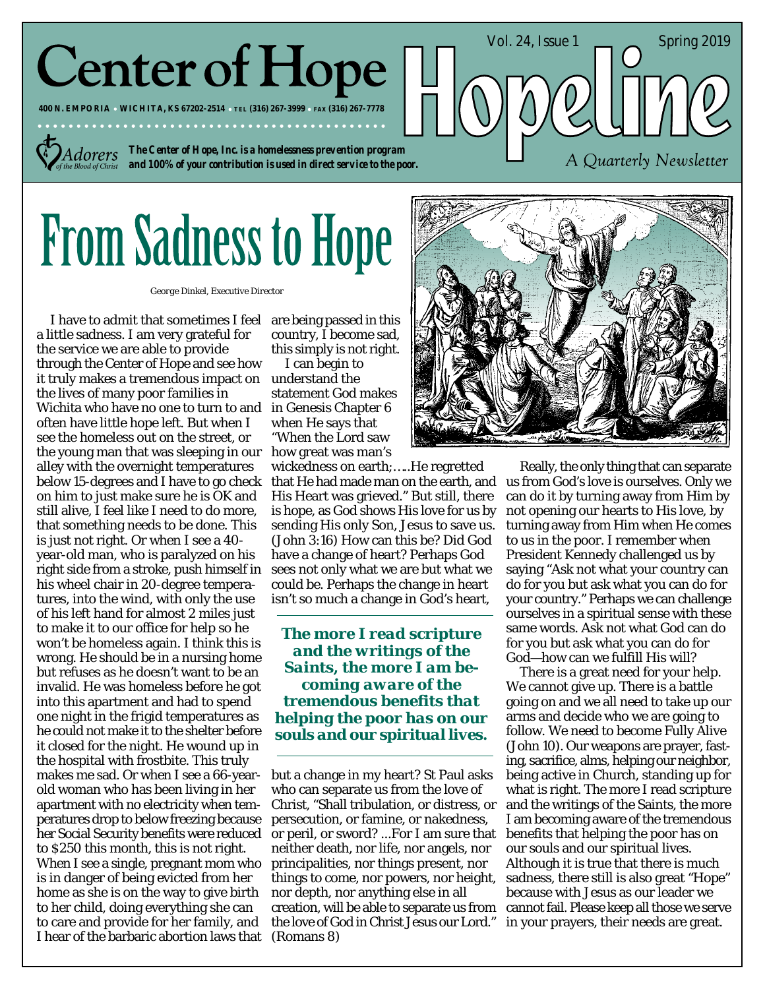# **Center of Hope**

**400 N. EMPORIA WICHITA, KS 67202-2514 TEL (316) 267-3999 FAX (316) 267-7778**

*Adorers* 

*The Center of Hope, Inc. is a homelessness prevention program and 100% of your contribution is used in direct service to the poor.*

# **From Sadness to Hope**

*George Dinkel, Executive Director*

I have to admit that sometimes I feel a little sadness. I am very grateful for the service we are able to provide through the Center of Hope and see how it truly makes a tremendous impact on understand the the lives of many poor families in Wichita who have no one to turn to and often have little hope left. But when I see the homeless out on the street, or the young man that was sleeping in our alley with the overnight temperatures below 15-degrees and I have to go check on him to just make sure he is OK and still alive, I feel like I need to do more, that something needs to be done. This is just not right. Or when I see a 40 year-old man, who is paralyzed on his right side from a stroke, push himself in his wheel chair in 20-degree temperatures, into the wind, with only the use of his left hand for almost 2 miles just to make it to our office for help so he won't be homeless again. I think this is wrong. He should be in a nursing home but refuses as he doesn't want to be an invalid. He was homeless before he got into this apartment and had to spend one night in the frigid temperatures as he could not make it to the shelter before it closed for the night. He wound up in the hospital with frostbite. This truly makes me sad. Or when I see a 66-yearold woman who has been living in her apartment with no electricity when temperatures drop to below freezing because her Social Security benefits were reduced to \$250 this month, this is not right. When I see a single, pregnant mom who is in danger of being evicted from her home as she is on the way to give birth to her child, doing everything she can to care and provide for her family, and I hear of the barbaric abortion laws that

are being passed in this country, I become sad, this simply is not right.

I can begin to statement God makes in Genesis Chapter 6 when He says that "When the Lord saw how great was man's

wickedness on earth;…..He regretted that He had made man on the earth, and His Heart was grieved." But still, there is hope, as God shows His love for us by sending His only Son, Jesus to save us. (John 3:16) How can this be? Did God have a change of heart? Perhaps God sees not only what we are but what we could be. Perhaps the change in heart isn't so much a change in God's heart,

*The more I read scripture and the writings of the Saints, the more I am becoming aware of the tremendous benefits that helping the poor has on our souls and our spiritual lives.*

but a change in my heart? St Paul asks who can separate us from the love of Christ, "Shall tribulation, or distress, or persecution, or famine, or nakedness, or peril, or sword? ...For I am sure that neither death, nor life, nor angels, nor principalities, nor things present, nor things to come, nor powers, nor height, nor depth, nor anything else in all creation, will be able to separate us from the love of God in Christ Jesus our Lord." (Romans 8)



Vol. 24, Issue  $1 \quad \text{Spring } 2019$ 

A Quarterly Newsletter

Really, the only thing that can separate us from God's love is ourselves. Only we can do it by turning away from Him by not opening our hearts to His love, by turning away from Him when He comes to us in the poor. I remember when President Kennedy challenged us by saying "Ask not what your country can do for you but ask what you can do for your country." Perhaps we can challenge ourselves in a spiritual sense with these same words. Ask not what God can do for you but ask what you can do for God—how can we fulfill His will?

There is a great need for your help. We cannot give up. There is a battle going on and we all need to take up our arms and decide who we are going to follow. We need to become Fully Alive (John 10). Our weapons are prayer, fasting, sacrifice, alms, helping our neighbor, being active in Church, standing up for what is right. The more I read scripture and the writings of the Saints, the more I am becoming aware of the tremendous benefits that helping the poor has on our souls and our spiritual lives. Although it is true that there is much sadness, there still is also great "Hope" because with Jesus as our leader we cannot fail. Please keep all those we serve in your prayers, their needs are great.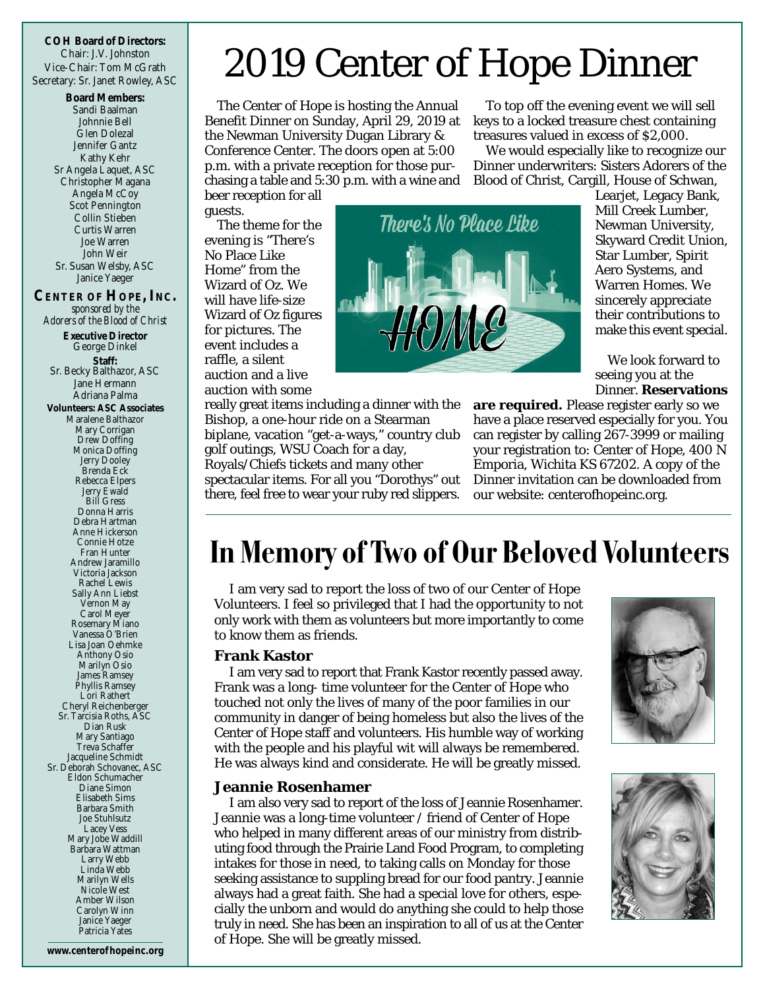**COH Board of Directors:** Chair: J.V. Johnston Vice-Chair: Tom McGrath Secretary: Sr. Janet Rowley, ASC

**Board Members:** Sandi Baalman Johnnie Bell Glen Dolezal Jennifer Gantz Kathy Kehr Sr Angela Laquet, ASC Christopher Magana Angela McCoy Scot Pennington Collin Stieben Curtis Warren Joe Warren John Weir Sr. Susan Welsby, ASC Janice Yaeger **CENTER OF HOPE, INC.** *sponsored by the Adorers of the Blood of Christ* **Executive Director** George Dinkel **Staff:** Sr. Becky Balthazor, ASC Jane Hermann Adriana Palma **Volunteers: ASC Associates** Maralene Balthazor Mary Corrigan Drew Doffing Monica Doffing Jerry Dooley Brenda Eck Rebecca Elpers Jerry Ewald Bill Gress Donna Harris Debra Hartman Anne Hickerson Connie Hotze Fran Hunter Andrew Jaramillo Victoria Jackson Rachel Lewis Sally Ann Liebst Vernon May Carol Meyer Rosemary Miano Vanessa O'Brien Lisa Joan Oehmke Anthony Osio Marilyn Osio James Ramsey Phyllis Ramsey Lori Rathert Cheryl Reichenberge Sr. Tarcisia Roths, ASC Dian Rusk Mary Santiago Treva Schaffer Jacqueline Schmidt Sr. Deborah Schovanec, ASC Eldon Schumacher Diane Simon Elisabeth Sims Barbara Smith Joe Stuhlsutz Lacey Vess Mary Jobe Waddill Barbara Wattman Larry Webb Linda Webb Marilyn Wells Nicole West Amber Wilson

**www.centerof hopeinc.org** Patricia Yates

Carolyn Winn Janice Yaeger

## 2019 Center of Hope Dinner

The Center of Hope is hosting the Annual Benefit Dinner on Sunday, April 29, 2019 at the Newman University Dugan Library & Conference Center. The doors open at 5:00 p.m. with a private reception for those purchasing a table and 5:30 p.m. with a wine and

beer reception for all guests.

The theme for the evening is "There's No Place Like Home" from the Wizard of Oz. We will have life-size Wizard of Oz figures for pictures. The event includes a raffle, a silent auction and a live auction with some

really great items including a dinner with the Bishop, a one-hour ride on a Stearman biplane, vacation "get-a-ways," country club golf outings, WSU Coach for a day, Royals/Chiefs tickets and many other spectacular items. For all you "Dorothys" out there, feel free to wear your ruby red slippers.

To top off the evening event we will sell keys to a locked treasure chest containing treasures valued in excess of \$2,000.

We would especially like to recognize our Dinner underwriters: Sisters Adorers of the Blood of Christ, Cargill, House of Schwan,

> Learjet, Legacy Bank, Mill Creek Lumber, Newman University, Skyward Credit Union, Star Lumber, Spirit Aero Systems, and Warren Homes. We sincerely appreciate their contributions to make this event special.

> We look forward to seeing you at the Dinner. **Reservations**

**are required.** Please register early so we have a place reserved especially for you. You can register by calling 267-3999 or mailing your registration to: Center of Hope, 400 N Emporia, Wichita KS 67202. A copy of the Dinner invitation can be downloaded from our website: centerofhopeinc.org.

### In Memory of Two of Our Beloved Volunteers

I am very sad to report the loss of two of our Center of Hope Volunteers. I feel so privileged that I had the opportunity to not only work with them as volunteers but more importantly to come to know them as friends.

#### **Frank Kastor**

I am very sad to report that Frank Kastor recently passed away. Frank was a long- time volunteer for the Center of Hope who touched not only the lives of many of the poor families in our community in danger of being homeless but also the lives of the Center of Hope staff and volunteers. His humble way of working with the people and his playful wit will always be remembered. He was always kind and considerate. He will be greatly missed.

#### **Jeannie Rosenhamer**

I am also very sad to report of the loss of Jeannie Rosenhamer. Jeannie was a long-time volunteer / friend of Center of Hope who helped in many different areas of our ministry from distributing food through the Prairie Land Food Program, to completing intakes for those in need, to taking calls on Monday for those seeking assistance to suppling bread for our food pantry. Jeannie always had a great faith. She had a special love for others, especially the unborn and would do anything she could to help those truly in need. She has been an inspiration to all of us at the Center of Hope. She will be greatly missed.







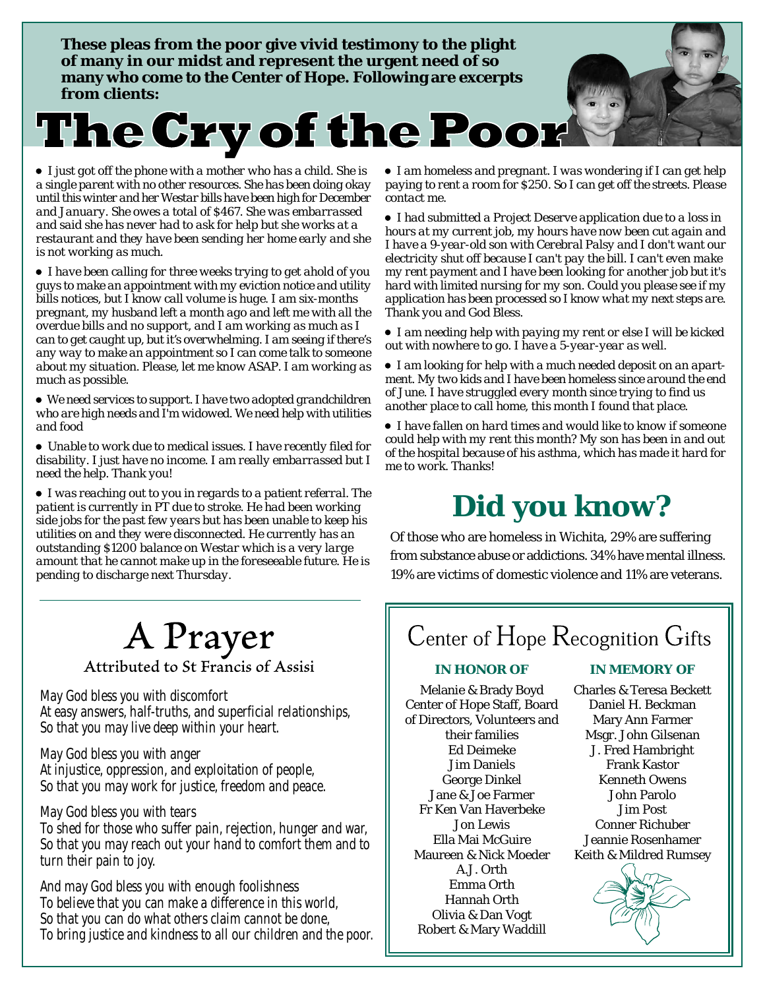**These pleas from the poor give vivid testimony to the plight of many in our midst and represent the urgent need of so many who come to the Center of Hope. Following are excerpts from clients:**

# **The Cry of the Poor**

 *I just got off the phone with a mother who has a child. She is a single parent with no other resources. She has been doing okay until this winter and her Westar bills have been high for December and January. She owes a total of \$467. She was embarrassed and said she has never had to ask for help but she works at a restaurant and they have been sending her home early and she is not working as much.*

 *I have been calling for three weeks trying to get ahold of you guys to make an appointment with my eviction notice and utility bills notices, but I know call volume is huge. I am six-months pregnant, my husband left a month ago and left me with all the overdue bills and no support, and I am working as much as I can to get caught up, but it's overwhelming. I am seeing if there's any way to make an appointment so I can come talk to someone about my situation. Please, let me know ASAP. I am working as much as possible.*

 *We need services to support. I have two adopted grandchildren who are high needs and I'm widowed. We need help with utilities and food*

 *Unable to work due to medical issues. I have recently filed for disability. I just have no income. I am really embarrassed but I need the help. Thank you!*

 *I was reaching out to you in regards to a patient referral. The patient is currently in PT due to stroke. He had been working side jobs for the past few years but has been unable to keep his utilities on and they were disconnected. He currently has an outstanding \$1200 balance on Westar which is a very large amount that he cannot make up in the foreseeable future. He is pending to discharge next Thursday.*

 *I am homeless and pregnant. I was wondering if I can get help paying to rent a room for \$250. So I can get off the streets. Please contact me.*

 *I had submitted a Project Deserve application due to a loss in hours at my current job, my hours have now been cut again and I have a 9-year-old son with Cerebral Palsy and I don't want our electricity shut off because I can't pay the bill. I can't even make my rent payment and I have been looking for another job but it's hard with limited nursing for my son. Could you please see if my application has been processed so I know what my next steps are. Thank you and God Bless.*

 *I am needing help with paying my rent or else I will be kicked out with nowhere to go. I have a 5-year-year as well.*

- *I am looking for help with a much needed deposit on an apartment. My two kids and I have been homeless since around the end of June. I have struggled every month since trying to find us another place to call home, this month I found that place.*
- *I have fallen on hard times and would like to know if someone could help with my rent this month? My son has been in and out of the hospital because of his asthma, which has made it hard for me to work. Thanks!*

## **Did you know?**

Of those who are homeless in Wichita, 29% are suffering from substance abuse or addictions. 34% have mental illness. 19% are victims of domestic violence and 11% are veterans.

## A Prayer

Attributed to St Francis of Assisi

May God bless you with discomfort At easy answers, half-truths, and superficial relationships, So that you may live deep within your heart.

May God bless you with anger At injustice, oppression, and exploitation of people, So that you may work for justice, freedom and peace.

May God bless you with tears To shed for those who suffer pain, rejection, hunger and war, So that you may reach out your hand to comfort them and to turn their pain to joy.

And may God bless you with enough foolishness To believe that you can make a difference in this world, So that you can do what others claim cannot be done, To bring justice and kindness to all our children and the poor.

### Center of Hope Recognition Gifts

Melanie & Brady Boyd Center of Hope Staff, Board of Directors, Volunteers and their families Ed Deimeke Jim Daniels George Dinkel Jane & Joe Farmer Fr Ken Van Haverbeke Jon Lewis Ella Mai McGuire Maureen & Nick Moeder A.J. Orth Emma Orth Hannah Orth Olivia & Dan Vogt Robert & Mary Waddill

#### **IN HONOR OF IN MEMORY OF**

Charles & Teresa Beckett Daniel H. Beckman Mary Ann Farmer Msgr. John Gilsenan J. Fred Hambright Frank Kastor Kenneth Owens John Parolo Jim Post Conner Richuber Jeannie Rosenhamer Keith & Mildred Rumsey